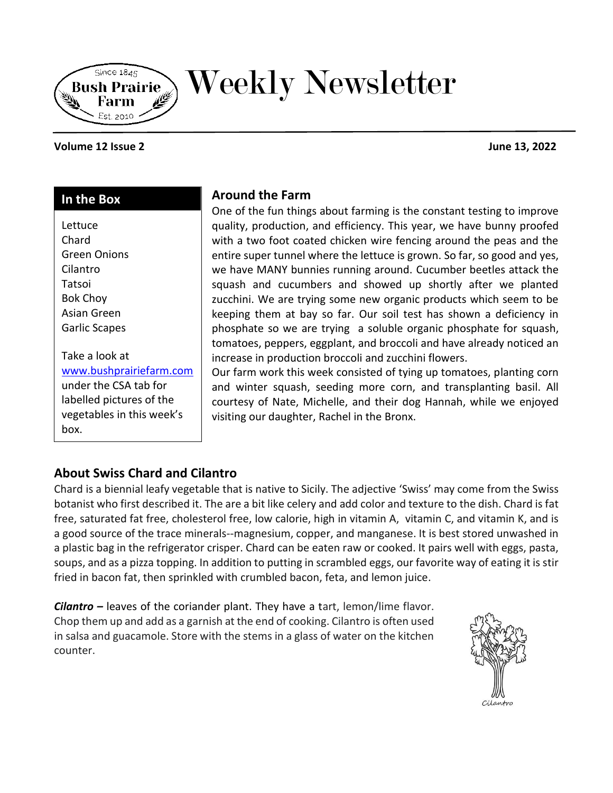

# Weekly Newsletter

#### **Volume 12 Issue 2 June 13, 2022**

## **In the Box**

box.

| Lettuce                   |
|---------------------------|
| Chard                     |
| Green Onions              |
| Cilantro                  |
| Tatsoi                    |
| <b>Bok Choy</b>           |
| Asian Green               |
| Garlic Scapes             |
|                           |
| Take a look at            |
| www.bushprairiefarm.com   |
| under the CSA tab for     |
| labelled pictures of the  |
| vegetables in this week's |

## **Around the Farm**

One of the fun things about farming is the constant testing to improve quality, production, and efficiency. This year, we have bunny proofed with a two foot coated chicken wire fencing around the peas and the entire super tunnel where the lettuce is grown. So far, so good and yes, we have MANY bunnies running around. Cucumber beetles attack the squash and cucumbers and showed up shortly after we planted zucchini. We are trying some new organic products which seem to be keeping them at bay so far. Our soil test has shown a deficiency in phosphate so we are trying a soluble organic phosphate for squash, tomatoes, peppers, eggplant, and broccoli and have already noticed an increase in production broccoli and zucchini flowers.

Our farm work this week consisted of tying up tomatoes, planting corn and winter squash, seeding more corn, and transplanting basil. All courtesy of Nate, Michelle, and their dog Hannah, while we enjoyed visiting our daughter, Rachel in the Bronx.

# **About Swiss Chard and Cilantro**

Chard is a biennial leafy vegetable that is native to Sicily. The adjective 'Swiss' may come from the Swiss botanist who first described it. The are a bit like celery and add color and texture to the dish. Chard is fat free, saturated fat free, cholesterol free, low calorie, high in vitamin A, vitamin C, and vitamin K, and is a good source of the trace minerals--magnesium, copper, and manganese. It is best stored unwashed in a plastic bag in the refrigerator crisper. Chard can be eaten raw or cooked. It pairs well with eggs, pasta, soups, and as a pizza topping. In addition to putting in scrambled eggs, our favorite way of eating it is stir fried in bacon fat, then sprinkled with crumbled bacon, feta, and lemon juice.

*Cilantro –* leaves of the coriander plant. They have a tart, lemon/lime flavor. Chop them up and add as a garnish at the end of cooking. Cilantro is often used in salsa and guacamole. Store with the stems in a glass of water on the kitchen counter.